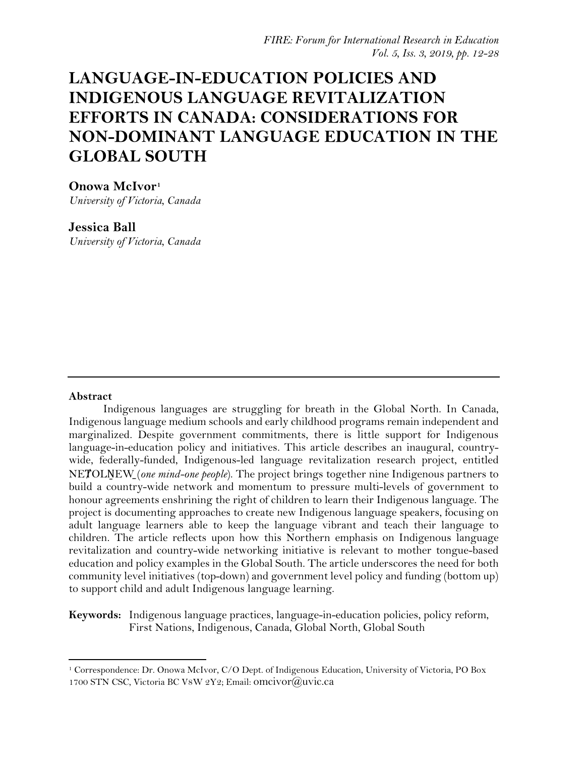# **LANGUAGE-IN-EDUCATION POLICIES AND INDIGENOUS LANGUAGE REVITALIZATION EFFORTS IN CANADA: CONSIDERATIONS FOR NON-DOMINANT LANGUAGE EDUCATION IN THE GLOBAL SOUTH**

# **Onowa McIvor[1](#page-0-0)**

*University of Victoria, Canada*

# **Jessica Ball**

*University of Victoria, Canada*

## **Abstract**

Indigenous languages are struggling for breath in the Global North. In Canada, Indigenous language medium schools and early childhood programs remain independent and marginalized. Despite government commitments, there is little support for Indigenous language-in-education policy and initiatives. This article describes an inaugural, countrywide, federally-funded, Indigenous-led language revitalization research project, entitled NETOLNEW (*one mind-one people*). The project brings together nine Indigenous partners to build a country-wide network and momentum to pressure multi-levels of government to honour agreements enshrining the right of children to learn their Indigenous language. The project is documenting approaches to create new Indigenous language speakers, focusing on adult language learners able to keep the language vibrant and teach their language to children. The article reflects upon how this Northern emphasis on Indigenous language revitalization and country-wide networking initiative is relevant to mother tongue-based education and policy examples in the Global South. The article underscores the need for both community level initiatives (top-down) and government level policy and funding (bottom up) to support child and adult Indigenous language learning.

**Keywords:** Indigenous language practices, language-in-education policies, policy reform, First Nations, Indigenous, Canada, Global North, Global South

<span id="page-0-0"></span><sup>1</sup> Correspondence: Dr. Onowa McIvor, C/O Dept. of Indigenous Education, University of Victoria, PO Box 1700 STN CSC, Victoria BC V8W 2Y2; Email: [omcivor@uvic.ca](mailto:omcivor@uvic.ca)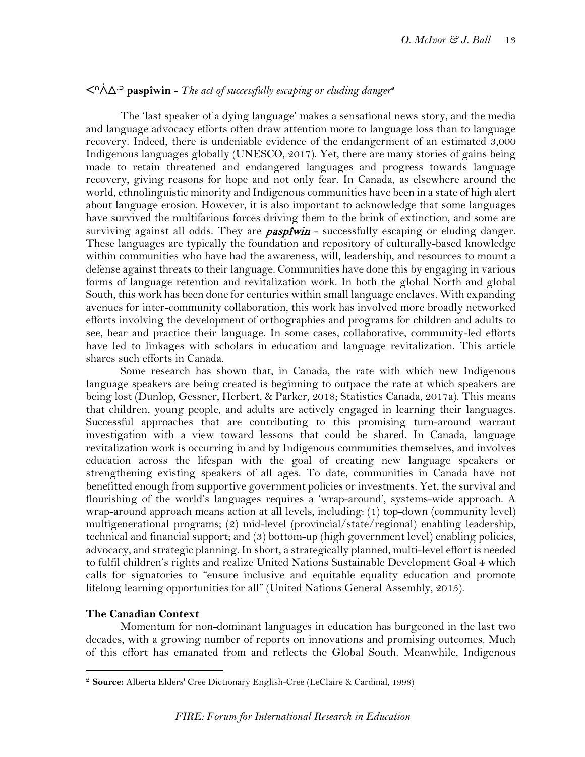# ᐸᐢᐲᐃᐧᐣ **paspîwin** - *The act of successfully escaping or eluding danger***[2](#page-1-0)**

The 'last speaker of a dying language' makes a sensational news story, and the media and language advocacy efforts often draw attention more to language loss than to language recovery. Indeed, there is undeniable evidence of the endangerment of an estimated 3,000 Indigenous languages globally (UNESCO, 2017). Yet, there are many stories of gains being made to retain threatened and endangered languages and progress towards language recovery, giving reasons for hope and not only fear. In Canada, as elsewhere around the world, ethnolinguistic minority and Indigenous communities have been in a state of high alert about language erosion. However, it is also important to acknowledge that some languages have survived the multifarious forces driving them to the brink of extinction, and some are surviving against all odds. They are *paspfwin* - successfully escaping or eluding danger. These languages are typically the foundation and repository of culturally-based knowledge within communities who have had the awareness, will, leadership, and resources to mount a defense against threats to their language. Communities have done this by engaging in various forms of language retention and revitalization work. In both the global North and global South, this work has been done for centuries within small language enclaves. With expanding avenues for inter-community collaboration, this work has involved more broadly networked efforts involving the development of orthographies and programs for children and adults to see, hear and practice their language. In some cases, collaborative, community-led efforts have led to linkages with scholars in education and language revitalization. This article shares such efforts in Canada.

Some research has shown that, in Canada, the rate with which new Indigenous language speakers are being created is beginning to outpace the rate at which speakers are being lost (Dunlop, Gessner, Herbert, & Parker, 2018; Statistics Canada, 2017a). This means that children, young people, and adults are actively engaged in learning their languages. Successful approaches that are contributing to this promising turn-around warrant investigation with a view toward lessons that could be shared. In Canada, language revitalization work is occurring in and by Indigenous communities themselves, and involves education across the lifespan with the goal of creating new language speakers or strengthening existing speakers of all ages. To date, communities in Canada have not benefitted enough from supportive government policies or investments. Yet, the survival and flourishing of the world's languages requires a 'wrap-around', systems-wide approach. A wrap-around approach means action at all levels, including: (1) top-down (community level) multigenerational programs; (2) mid-level (provincial/state/regional) enabling leadership, technical and financial support; and (3) bottom-up (high government level) enabling policies, advocacy, and strategic planning. In short, a strategically planned, multi-level effort is needed to fulfil children's rights and realize United Nations Sustainable Development Goal 4 which calls for signatories to "ensure inclusive and equitable equality education and promote lifelong learning opportunities for all" (United Nations General Assembly, 2015).

#### **The Canadian Context**

Momentum for non-dominant languages in education has burgeoned in the last two decades, with a growing number of reports on innovations and promising outcomes. Much of this effort has emanated from and reflects the Global South. Meanwhile, Indigenous

<span id="page-1-0"></span><sup>2</sup> **Source:** Alberta Elders' Cree Dictionary English-Cree (LeClaire & Cardinal, 1998)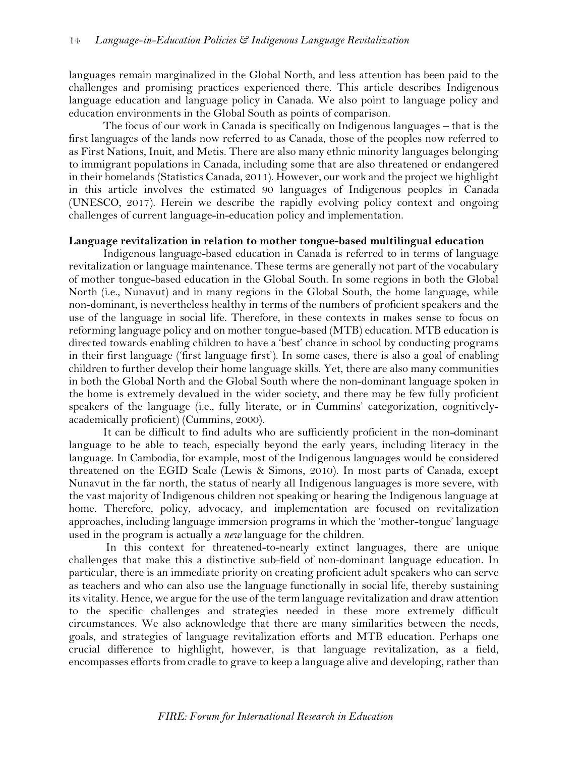languages remain marginalized in the Global North, and less attention has been paid to the challenges and promising practices experienced there. This article describes Indigenous language education and language policy in Canada. We also point to language policy and education environments in the Global South as points of comparison.

The focus of our work in Canada is specifically on Indigenous languages – that is the first languages of the lands now referred to as Canada, those of the peoples now referred to as First Nations, Inuit, and Metis. There are also many ethnic minority languages belonging to immigrant populations in Canada, including some that are also threatened or endangered in their homelands (Statistics Canada, 2011). However, our work and the project we highlight in this article involves the estimated 90 languages of Indigenous peoples in Canada (UNESCO, 2017). Herein we describe the rapidly evolving policy context and ongoing challenges of current language-in-education policy and implementation.

#### **Language revitalization in relation to mother tongue-based multilingual education**

Indigenous language-based education in Canada is referred to in terms of language revitalization or language maintenance. These terms are generally not part of the vocabulary of mother tongue-based education in the Global South. In some regions in both the Global North (i.e., Nunavut) and in many regions in the Global South, the home language, while non-dominant, is nevertheless healthy in terms of the numbers of proficient speakers and the use of the language in social life. Therefore, in these contexts in makes sense to focus on reforming language policy and on mother tongue-based (MTB) education. MTB education is directed towards enabling children to have a 'best' chance in school by conducting programs in their first language ('first language first'). In some cases, there is also a goal of enabling children to further develop their home language skills. Yet, there are also many communities in both the Global North and the Global South where the non-dominant language spoken in the home is extremely devalued in the wider society, and there may be few fully proficient speakers of the language (i.e., fully literate, or in Cummins' categorization, cognitivelyacademically proficient) (Cummins, 2000).

It can be difficult to find adults who are sufficiently proficient in the non-dominant language to be able to teach, especially beyond the early years, including literacy in the language. In Cambodia, for example, most of the Indigenous languages would be considered threatened on the EGID Scale (Lewis & Simons, 2010). In most parts of Canada, except Nunavut in the far north, the status of nearly all Indigenous languages is more severe, with the vast majority of Indigenous children not speaking or hearing the Indigenous language at home. Therefore, policy, advocacy, and implementation are focused on revitalization approaches, including language immersion programs in which the 'mother-tongue' language used in the program is actually a *new* language for the children.

In this context for threatened-to-nearly extinct languages, there are unique challenges that make this a distinctive sub-field of non-dominant language education. In particular, there is an immediate priority on creating proficient adult speakers who can serve as teachers and who can also use the language functionally in social life, thereby sustaining its vitality. Hence, we argue for the use of the term language revitalization and draw attention to the specific challenges and strategies needed in these more extremely difficult circumstances. We also acknowledge that there are many similarities between the needs, goals, and strategies of language revitalization efforts and MTB education. Perhaps one crucial difference to highlight, however, is that language revitalization, as a field, encompasses efforts from cradle to grave to keep a language alive and developing, rather than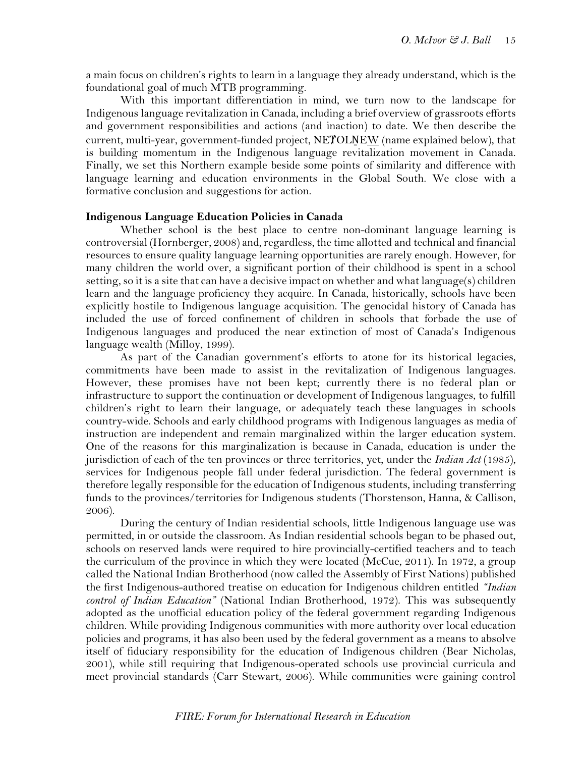a main focus on children's rights to learn in a language they already understand, which is the foundational goal of much MTB programming.

With this important differentiation in mind, we turn now to the landscape for Indigenous language revitalization in Canada, including a brief overview of grassroots efforts and government responsibilities and actions (and inaction) to date. We then describe the current, multi-year, government-funded project, NETOLNEW (name explained below), that is building momentum in the Indigenous language revitalization movement in Canada. Finally, we set this Northern example beside some points of similarity and difference with language learning and education environments in the Global South. We close with a formative conclusion and suggestions for action.

## **Indigenous Language Education Policies in Canada**

Whether school is the best place to centre non-dominant language learning is controversial (Hornberger, 2008) and, regardless, the time allotted and technical and financial resources to ensure quality language learning opportunities are rarely enough. However, for many children the world over, a significant portion of their childhood is spent in a school setting, so it is a site that can have a decisive impact on whether and what language(s) children learn and the language proficiency they acquire. In Canada, historically, schools have been explicitly hostile to Indigenous language acquisition. The genocidal history of Canada has included the use of forced confinement of children in schools that forbade the use of Indigenous languages and produced the near extinction of most of Canada's Indigenous language wealth (Milloy, 1999).

As part of the Canadian government's efforts to atone for its historical legacies, commitments have been made to assist in the revitalization of Indigenous languages. However, these promises have not been kept; currently there is no federal plan or infrastructure to support the continuation or development of Indigenous languages, to fulfill children's right to learn their language, or adequately teach these languages in schools country-wide. Schools and early childhood programs with Indigenous languages as media of instruction are independent and remain marginalized within the larger education system. One of the reasons for this marginalization is because in Canada, education is under the jurisdiction of each of the ten provinces or three territories, yet, under the *Indian Act* (1985), services for Indigenous people fall under federal jurisdiction. The federal government is therefore legally responsible for the education of Indigenous students, including transferring funds to the provinces/territories for Indigenous students (Thorstenson, Hanna, & Callison, 2006).

During the century of Indian residential schools, little Indigenous language use was permitted, in or outside the classroom. As Indian residential schools began to be phased out, schools on reserved lands were required to hire provincially-certified teachers and to teach the curriculum of the province in which they were located (McCue, 2011). In 1972, a group called the National Indian Brotherhood (now called the Assembly of First Nations) published the first Indigenous-authored treatise on education for Indigenous children entitled *"Indian control of Indian Education"* (National Indian Brotherhood, 1972). This was subsequently adopted as the unofficial education policy of the federal government regarding Indigenous children. While providing Indigenous communities with more authority over local education policies and programs, it has also been used by the federal government as a means to absolve itself of fiduciary responsibility for the education of Indigenous children (Bear Nicholas, 2001), while still requiring that Indigenous-operated schools use provincial curricula and meet provincial standards (Carr Stewart, 2006). While communities were gaining control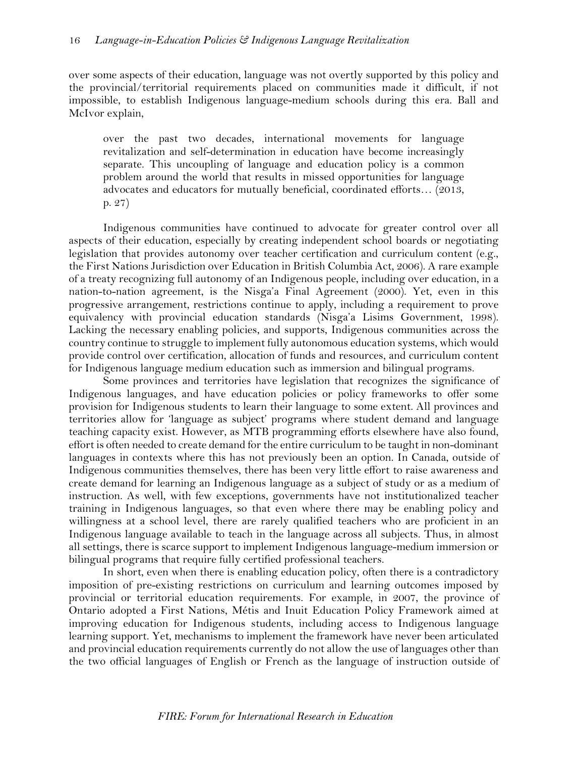over some aspects of their education, language was not overtly supported by this policy and the provincial/territorial requirements placed on communities made it difficult, if not impossible, to establish Indigenous language-medium schools during this era. Ball and McIvor explain,

over the past two decades, international movements for language revitalization and self-determination in education have become increasingly separate. This uncoupling of language and education policy is a common problem around the world that results in missed opportunities for language advocates and educators for mutually beneficial, coordinated efforts… (2013, p. 27)

Indigenous communities have continued to advocate for greater control over all aspects of their education, especially by creating independent school boards or negotiating legislation that provides autonomy over teacher certification and curriculum content (e.g., the First Nations Jurisdiction over Education in British Columbia Act, 2006). A rare example of a treaty recognizing full autonomy of an Indigenous people, including over education, in a nation-to-nation agreement, is the Nisga'a Final Agreement (2000). Yet, even in this progressive arrangement, restrictions continue to apply, including a requirement to prove equivalency with provincial education standards (Nisga'a Lisims Government, 1998). Lacking the necessary enabling policies, and supports, Indigenous communities across the country continue to struggle to implement fully autonomous education systems, which would provide control over certification, allocation of funds and resources, and curriculum content for Indigenous language medium education such as immersion and bilingual programs.

Some provinces and territories have legislation that recognizes the significance of Indigenous languages, and have education policies or policy frameworks to offer some provision for Indigenous students to learn their language to some extent. All provinces and territories allow for 'language as subject' programs where student demand and language teaching capacity exist. However, as MTB programming efforts elsewhere have also found, effort is often needed to create demand for the entire curriculum to be taught in non-dominant languages in contexts where this has not previously been an option. In Canada, outside of Indigenous communities themselves, there has been very little effort to raise awareness and create demand for learning an Indigenous language as a subject of study or as a medium of instruction. As well, with few exceptions, governments have not institutionalized teacher training in Indigenous languages, so that even where there may be enabling policy and willingness at a school level, there are rarely qualified teachers who are proficient in an Indigenous language available to teach in the language across all subjects. Thus, in almost all settings, there is scarce support to implement Indigenous language-medium immersion or bilingual programs that require fully certified professional teachers.

In short, even when there is enabling education policy, often there is a contradictory imposition of pre-existing restrictions on curriculum and learning outcomes imposed by provincial or territorial education requirements. For example, in 2007, the province of Ontario adopted a First Nations, Métis and Inuit Education Policy Framework aimed at improving education for Indigenous students, including access to Indigenous language learning support. Yet, mechanisms to implement the framework have never been articulated and provincial education requirements currently do not allow the use of languages other than the two official languages of English or French as the language of instruction outside of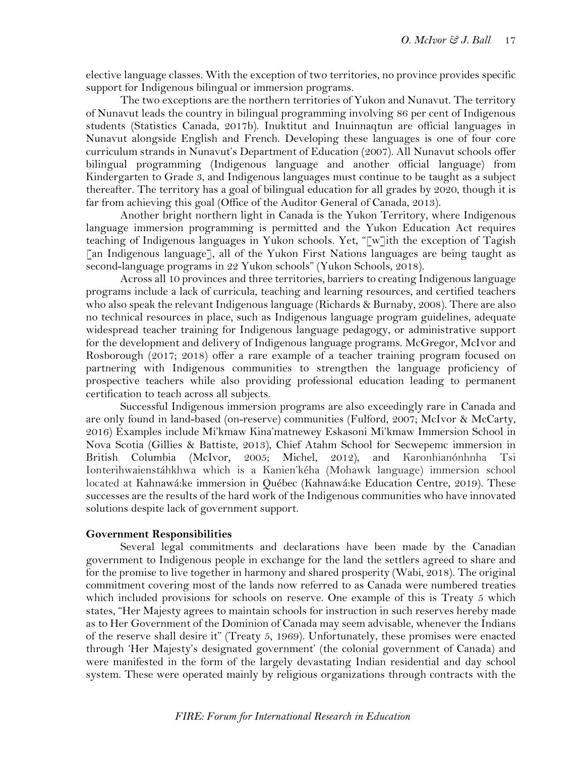elective language classes. With the exception of two territories, no province provides specific support for Indigenous bilingual or immersion programs.

The two exceptions are the northern territories of Yukon and Nunavut. The territory of Nunavut leads the country in bilingual programming involving 86 per cent of Indigenous students (Statistics Canada, 2017b). Inuktitut and Inuinnaqtun are official languages in Nunavut alongside English and French. Developing these languages is one of four core curriculum strands in Nunavut's Department of Education (2007). All Nunavut schools offer bilingual programming (Indigenous language and another official language) from Kindergarten to Grade 3, and Indigenous languages must continue to be taught as a subject thereafter. The territory has a goal of bilingual education for all grades by 2020, though it is far from achieving this goal (Office of the Auditor General of Canada, 2013).

Another bright northern light in Canada is the Yukon Territory, where Indigenous language immersion programming is permitted and the Yukon Education Act requires teaching of Indigenous languages in Yukon schools. Yet, "[w]ith the exception of Tagish [an Indigenous language], all of the Yukon First Nations languages are being taught as second-language programs in 22 Yukon schools" (Yukon Schools, 2018).

Across all 10 provinces and three territories, barriers to creating Indigenous language programs include a lack of curricula, teaching and learning resources, and certified teachers who also speak the relevant Indigenous language (Richards & Burnaby, 2008). There are also no technical resources in place, such as Indigenous language program guidelines, adequate widespread teacher training for Indigenous language pedagogy, or administrative support for the development and delivery of Indigenous language programs. McGregor, McIvor and Rosborough (2017; 2018) offer a rare example of a teacher training program focused on partnering with Indigenous communities to strengthen the language proficiency of prospective teachers while also providing professional education leading to permanent certification to teach across all subjects.

Successful Indigenous immersion programs are also exceedingly rare in Canada and are only found in land-based (on-reserve) communities (Fulford, 2007; McIvor & McCarty, 2016) Examples include Mi'kmaw Kina'matnewey Eskasoni Mi'kmaw Immersion School in Nova Scotia (Gillies & Battiste, 2013), Chief Atahm School for Secwepemc immersion in British Columbia (McIvor, 2005; Michel, 2012), and Karonhianónhnha Ionterihwaienstáhkhwa which is a Kanien'kéha (Mohawk language) immersion school located at Kahnawá:ke immersion in Québec (Kahnawá:ke Education Centre, 2019). These successes are the results of the hard work of the Indigenous communities who have innovated solutions despite lack of government support.

## **Government Responsibilities**

Several legal commitments and declarations have been made by the Canadian government to Indigenous people in exchange for the land the settlers agreed to share and for the promise to live together in harmony and shared prosperity (Wabi, 2018). The original commitment covering most of the lands now referred to as Canada were numbered treaties which included provisions for schools on reserve. One example of this is Treaty 5 which states, "Her Majesty agrees to maintain schools for instruction in such reserves hereby made as to Her Government of the Dominion of Canada may seem advisable, whenever the Indians of the reserve shall desire it" (Treaty 5, 1969). Unfortunately, these promises were enacted through 'Her Majesty's designated government' (the colonial government of Canada) and were manifested in the form of the largely devastating Indian residential and day school system. These were operated mainly by religious organizations through contracts with the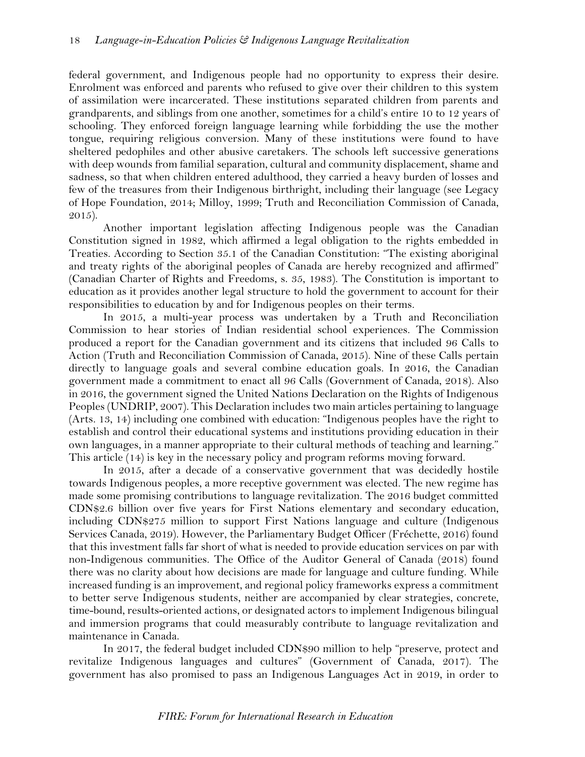federal government, and Indigenous people had no opportunity to express their desire. Enrolment was enforced and parents who refused to give over their children to this system of assimilation were incarcerated. These institutions separated children from parents and grandparents, and siblings from one another, sometimes for a child's entire 10 to 12 years of schooling. They enforced foreign language learning while forbidding the use the mother tongue, requiring religious conversion. Many of these institutions were found to have sheltered pedophiles and other abusive caretakers. The schools left successive generations with deep wounds from familial separation, cultural and community displacement, shame and sadness, so that when children entered adulthood, they carried a heavy burden of losses and few of the treasures from their Indigenous birthright, including their language (see Legacy of Hope Foundation, 2014; Milloy, 1999; Truth and Reconciliation Commission of Canada, 2015).

Another important legislation affecting Indigenous people was the Canadian Constitution signed in 1982, which affirmed a legal obligation to the rights embedded in Treaties. According to Section 35.1 of the Canadian Constitution: "The existing aboriginal and treaty rights of the aboriginal peoples of Canada are hereby recognized and affirmed" (Canadian Charter of Rights and Freedoms, s. 35, 1983). The Constitution is important to education as it provides another legal structure to hold the government to account for their responsibilities to education by and for Indigenous peoples on their terms.

In 2015, a multi-year process was undertaken by a Truth and Reconciliation Commission to hear stories of Indian residential school experiences. The Commission produced a report for the Canadian government and its citizens that included 96 Calls to Action (Truth and Reconciliation Commission of Canada, 2015). Nine of these Calls pertain directly to language goals and several combine education goals. In 2016, the Canadian government made a commitment to enact all 96 Calls (Government of Canada, 2018). Also in 2016, the government signed the United Nations Declaration on the Rights of Indigenous Peoples (UNDRIP, 2007). This Declaration includes two main articles pertaining to language (Arts. 13, 14) including one combined with education: "Indigenous peoples have the right to establish and control their educational systems and institutions providing education in their own languages, in a manner appropriate to their cultural methods of teaching and learning." This article (14) is key in the necessary policy and program reforms moving forward.

In 2015, after a decade of a conservative government that was decidedly hostile towards Indigenous peoples, a more receptive government was elected. The new regime has made some promising contributions to language revitalization. The 2016 budget committed CDN\$2.6 billion over five years for First Nations elementary and secondary education, including CDN\$275 million to support First Nations language and culture (Indigenous Services Canada, 2019). However, the Parliamentary Budget Officer (Fréchette, 2016) found that this investment falls far short of what is needed to provide education services on par with non-Indigenous communities. The Office of the Auditor General of Canada (2018) found there was no clarity about how decisions are made for language and culture funding. While increased funding is an improvement, and regional policy frameworks express a commitment to better serve Indigenous students, neither are accompanied by clear strategies, concrete, time-bound, results-oriented actions, or designated actors to implement Indigenous bilingual and immersion programs that could measurably contribute to language revitalization and maintenance in Canada.

In 2017, the federal budget included CDN\$90 million to help "preserve, protect and revitalize Indigenous languages and cultures" (Government of Canada, 2017). The government has also promised to pass an Indigenous Languages Act in 2019, in order to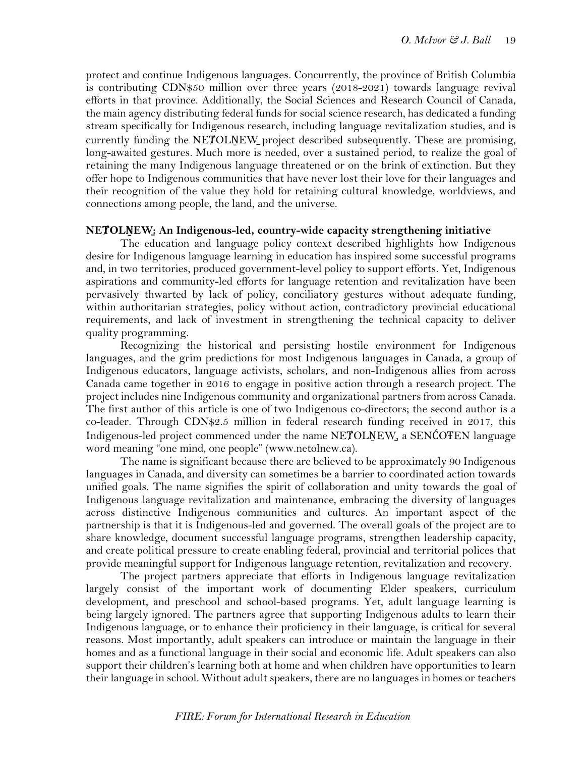protect and continue Indigenous languages. Concurrently, the province of British Columbia is contributing CDN\$50 million over three years (2018-2021) towards language revival efforts in that province. Additionally, the Social Sciences and Research Council of Canada, the main agency distributing federal funds for social science research, has dedicated a funding stream specifically for Indigenous research, including language revitalization studies, and is currently funding the NETOLNEW project described subsequently. These are promising, long-awaited gestures. Much more is needed, over a sustained period, to realize the goal of retaining the many Indigenous language threatened or on the brink of extinction. But they offer hope to Indigenous communities that have never lost their love for their languages and their recognition of the value they hold for retaining cultural knowledge, worldviews, and connections among people, the land, and the universe.

## **NEȾOLṈEW̱: An Indigenous-led, country-wide capacity strengthening initiative**

The education and language policy context described highlights how Indigenous desire for Indigenous language learning in education has inspired some successful programs and, in two territories, produced government-level policy to support efforts. Yet, Indigenous aspirations and community-led efforts for language retention and revitalization have been pervasively thwarted by lack of policy, conciliatory gestures without adequate funding, within authoritarian strategies, policy without action, contradictory provincial educational requirements, and lack of investment in strengthening the technical capacity to deliver quality programming.

Recognizing the historical and persisting hostile environment for Indigenous languages, and the grim predictions for most Indigenous languages in Canada, a group of Indigenous educators, language activists, scholars, and non-Indigenous allies from across Canada came together in 2016 to engage in positive action through a research project. The project includes nine Indigenous community and organizational partners from across Canada. The first author of this article is one of two Indigenous co-directors; the second author is a co-leader. Through CDN\$2.5 million in federal research funding received in 2017, this Indigenous-led project commenced under the name NETOLNEW, a SENCOTEN language word meaning "one mind, one people" [\(www.netolnew.ca\)](http://www.netolnew.ca/).

The name is significant because there are believed to be approximately 90 Indigenous languages in Canada, and diversity can sometimes be a barrier to coordinated action towards unified goals. The name signifies the spirit of collaboration and unity towards the goal of Indigenous language revitalization and maintenance, embracing the diversity of languages across distinctive Indigenous communities and cultures. An important aspect of the partnership is that it is Indigenous-led and governed. The overall goals of the project are to share knowledge, document successful language programs, strengthen leadership capacity, and create political pressure to create enabling federal, provincial and territorial polices that provide meaningful support for Indigenous language retention, revitalization and recovery.

The project partners appreciate that efforts in Indigenous language revitalization largely consist of the important work of documenting Elder speakers, curriculum development, and preschool and school-based programs. Yet, adult language learning is being largely ignored. The partners agree that supporting Indigenous adults to learn their Indigenous language, or to enhance their proficiency in their language, is critical for several reasons. Most importantly, adult speakers can introduce or maintain the language in their homes and as a functional language in their social and economic life. Adult speakers can also support their children's learning both at home and when children have opportunities to learn their language in school. Without adult speakers, there are no languages in homes or teachers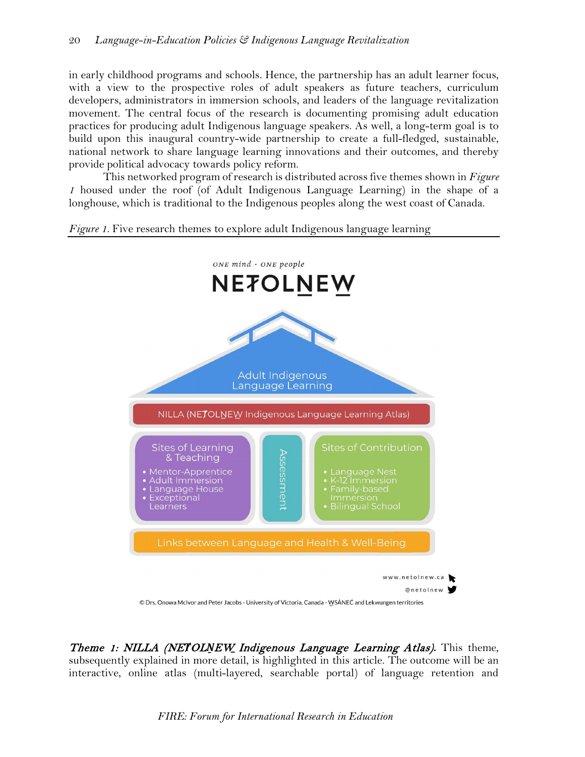in early childhood programs and schools. Hence, the partnership has an adult learner focus, with a view to the prospective roles of adult speakers as future teachers, curriculum developers, administrators in immersion schools, and leaders of the language revitalization movement. The central focus of the research is documenting promising adult education practices for producing adult Indigenous language speakers. As well, a long-term goal is to build upon this inaugural country-wide partnership to create a full-fledged, sustainable, national network to share language learning innovations and their outcomes, and thereby provide political advocacy towards policy reform.

This networked program of research is distributed across five themes shown in *Figure 1* housed under the roof (of Adult Indigenous Language Learning) in the shape of a longhouse, which is traditional to the Indigenous peoples along the west coast of Canada.

*Figure 1*. Five research themes to explore adult Indigenous language learning



Theme 1: NILLA (NE*Ⱦ*OL*Ṉ*EW*̱*Indigenous Language Learning Atlas)**.** This theme, subsequently explained in more detail, is highlighted in this article. The outcome will be an interactive, online atlas (multi-layered, searchable portal) of language retention and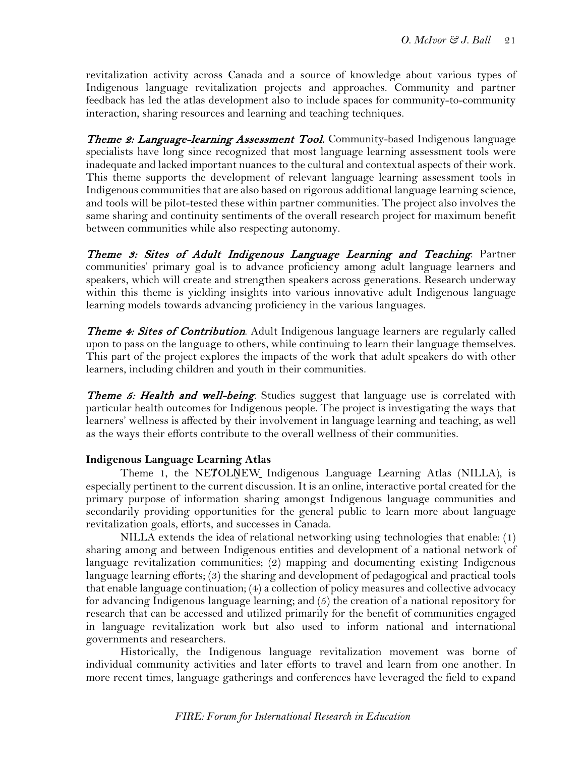revitalization activity across Canada and a source of knowledge about various types of Indigenous language revitalization projects and approaches. Community and partner feedback has led the atlas development also to include spaces for community-to-community interaction, sharing resources and learning and teaching techniques.

**Theme 2: Language-learning Assessment Tool.** Community-based Indigenous language specialists have long since recognized that most language learning assessment tools were inadequate and lacked important nuances to the cultural and contextual aspects of their work. This theme supports the development of relevant language learning assessment tools in Indigenous communities that are also based on rigorous additional language learning science, and tools will be pilot-tested these within partner communities. The project also involves the same sharing and continuity sentiments of the overall research project for maximum benefit between communities while also respecting autonomy.

Theme 3: Sites of Adult Indigenous Language Learning and Teaching. Partner communities' primary goal is to advance proficiency among adult language learners and speakers, which will create and strengthen speakers across generations. Research underway within this theme is yielding insights into various innovative adult Indigenous language learning models towards advancing proficiency in the various languages.

**Theme 4: Sites of Contribution**. Adult Indigenous language learners are regularly called upon to pass on the language to others, while continuing to learn their language themselves. This part of the project explores the impacts of the work that adult speakers do with other learners, including children and youth in their communities.

**Theme 5: Health and well-being**. Studies suggest that language use is correlated with particular health outcomes for Indigenous people. The project is investigating the ways that learners' wellness is affected by their involvement in language learning and teaching, as well as the ways their efforts contribute to the overall wellness of their communities.

## **Indigenous Language Learning Atlas**

Theme 1, the NETOLNEW Indigenous Language Learning Atlas (NILLA), is especially pertinent to the current discussion. It is an online, interactive portal created for the primary purpose of information sharing amongst Indigenous language communities and secondarily providing opportunities for the general public to learn more about language revitalization goals, efforts, and successes in Canada.

NILLA extends the idea of relational networking using technologies that enable: (1) sharing among and between Indigenous entities and development of a national network of language revitalization communities; (2) mapping and documenting existing Indigenous language learning efforts; (3) the sharing and development of pedagogical and practical tools that enable language continuation; (4) a collection of policy measures and collective advocacy for advancing Indigenous language learning; and (5) the creation of a national repository for research that can be accessed and utilized primarily for the benefit of communities engaged in language revitalization work but also used to inform national and international governments and researchers.

Historically, the Indigenous language revitalization movement was borne of individual community activities and later efforts to travel and learn from one another. In more recent times, language gatherings and conferences have leveraged the field to expand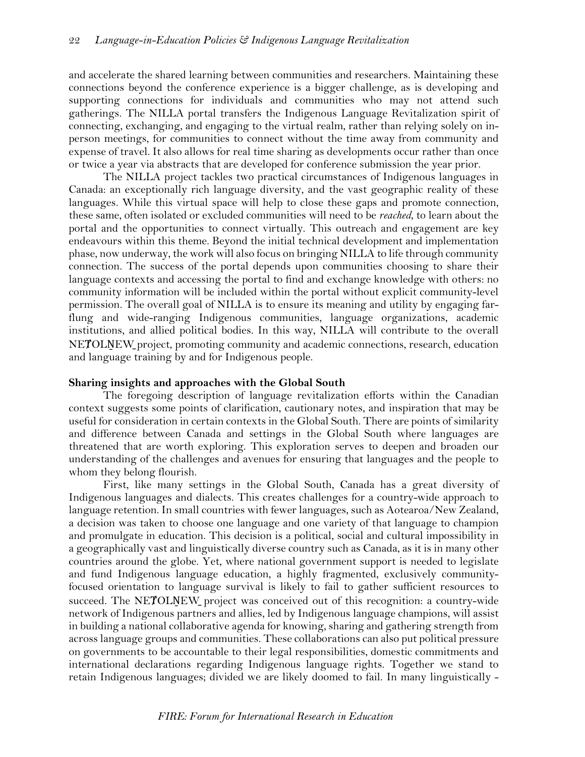and accelerate the shared learning between communities and researchers. Maintaining these connections beyond the conference experience is a bigger challenge, as is developing and supporting connections for individuals and communities who may not attend such gatherings. The NILLA portal transfers the Indigenous Language Revitalization spirit of connecting, exchanging, and engaging to the virtual realm, rather than relying solely on inperson meetings, for communities to connect without the time away from community and expense of travel. It also allows for real time sharing as developments occur rather than once or twice a year via abstracts that are developed for conference submission the year prior.

The NILLA project tackles two practical circumstances of Indigenous languages in Canada: an exceptionally rich language diversity, and the vast geographic reality of these languages. While this virtual space will help to close these gaps and promote connection, these same, often isolated or excluded communities will need to be *reached*, to learn about the portal and the opportunities to connect virtually. This outreach and engagement are key endeavours within this theme. Beyond the initial technical development and implementation phase, now underway, the work will also focus on bringing NILLA to life through community connection. The success of the portal depends upon communities choosing to share their language contexts and accessing the portal to find and exchange knowledge with others: no community information will be included within the portal without explicit community-level permission. The overall goal of NILLA is to ensure its meaning and utility by engaging farflung and wide-ranging Indigenous communities, language organizations, academic institutions, and allied political bodies. In this way, NILLA will contribute to the overall NEȾOLṈEW̱project, promoting community and academic connections, research, education and language training by and for Indigenous people.

#### **Sharing insights and approaches with the Global South**

The foregoing description of language revitalization efforts within the Canadian context suggests some points of clarification, cautionary notes, and inspiration that may be useful for consideration in certain contexts in the Global South. There are points of similarity and difference between Canada and settings in the Global South where languages are threatened that are worth exploring. This exploration serves to deepen and broaden our understanding of the challenges and avenues for ensuring that languages and the people to whom they belong flourish.

First, like many settings in the Global South, Canada has a great diversity of Indigenous languages and dialects. This creates challenges for a country-wide approach to language retention. In small countries with fewer languages, such as Aotearoa/New Zealand, a decision was taken to choose one language and one variety of that language to champion and promulgate in education. This decision is a political, social and cultural impossibility in a geographically vast and linguistically diverse country such as Canada, as it is in many other countries around the globe. Yet, where national government support is needed to legislate and fund Indigenous language education, a highly fragmented, exclusively communityfocused orientation to language survival is likely to fail to gather sufficient resources to succeed. The NETOLNEW project was conceived out of this recognition: a country-wide network of Indigenous partners and allies, led by Indigenous language champions, will assist in building a national collaborative agenda for knowing, sharing and gathering strength from across language groups and communities. These collaborations can also put political pressure on governments to be accountable to their legal responsibilities, domestic commitments and international declarations regarding Indigenous language rights. Together we stand to retain Indigenous languages; divided we are likely doomed to fail. In many linguistically -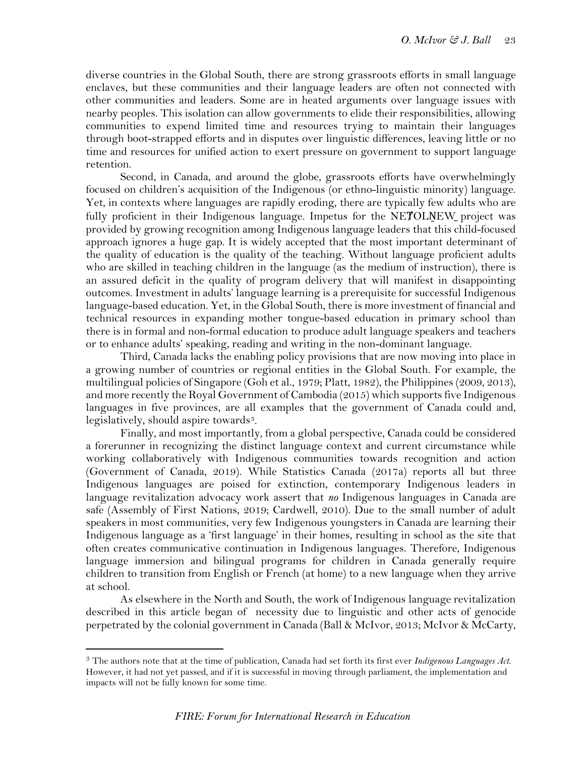diverse countries in the Global South, there are strong grassroots efforts in small language enclaves, but these communities and their language leaders are often not connected with other communities and leaders. Some are in heated arguments over language issues with nearby peoples. This isolation can allow governments to elide their responsibilities, allowing communities to expend limited time and resources trying to maintain their languages through boot-strapped efforts and in disputes over linguistic differences, leaving little or no time and resources for unified action to exert pressure on government to support language retention.

Second, in Canada, and around the globe, grassroots efforts have overwhelmingly focused on children's acquisition of the Indigenous (or ethno-linguistic minority) language. Yet, in contexts where languages are rapidly eroding, there are typically few adults who are fully proficient in their Indigenous language. Impetus for the NETOLNEW project was provided by growing recognition among Indigenous language leaders that this child-focused approach ignores a huge gap. It is widely accepted that the most important determinant of the quality of education is the quality of the teaching. Without language proficient adults who are skilled in teaching children in the language (as the medium of instruction), there is an assured deficit in the quality of program delivery that will manifest in disappointing outcomes. Investment in adults' language learning is a prerequisite for successful Indigenous language-based education. Yet, in the Global South, there is more investment of financial and technical resources in expanding mother tongue-based education in primary school than there is in formal and non-formal education to produce adult language speakers and teachers or to enhance adults' speaking, reading and writing in the non-dominant language.

Third, Canada lacks the enabling policy provisions that are now moving into place in a growing number of countries or regional entities in the Global South. For example, the multilingual policies of Singapore (Goh et al., 1979; Platt, 1982), the Philippines (2009, 2013), and more recently the Royal Government of Cambodia (2015) which supports five Indigenous languages in five provinces, are all examples that the government of Canada could and, legislatively, should aspire towards<sup>3</sup>.

Finally, and most importantly, from a global perspective, Canada could be considered a forerunner in recognizing the distinct language context and current circumstance while working collaboratively with Indigenous communities towards recognition and action (Government of Canada, 2019). While Statistics Canada (2017a) reports all but three Indigenous languages are poised for extinction, contemporary Indigenous leaders in language revitalization advocacy work assert that *no* Indigenous languages in Canada are safe (Assembly of First Nations, 2019; Cardwell, 2010). Due to the small number of adult speakers in most communities, very few Indigenous youngsters in Canada are learning their Indigenous language as a 'first language' in their homes, resulting in school as the site that often creates communicative continuation in Indigenous languages. Therefore, Indigenous language immersion and bilingual programs for children in Canada generally require children to transition from English or French (at home) to a new language when they arrive at school.

As elsewhere in the North and South, the work of Indigenous language revitalization described in this article began of necessity due to linguistic and other acts of genocide perpetrated by the colonial government in Canada (Ball & McIvor, 2013; McIvor & McCarty,

<span id="page-11-0"></span><sup>3</sup> The authors note that at the time of publication, Canada had set forth its first ever *Indigenous Languages Act*. However, it had not yet passed, and if it is successful in moving through parliament, the implementation and impacts will not be fully known for some time.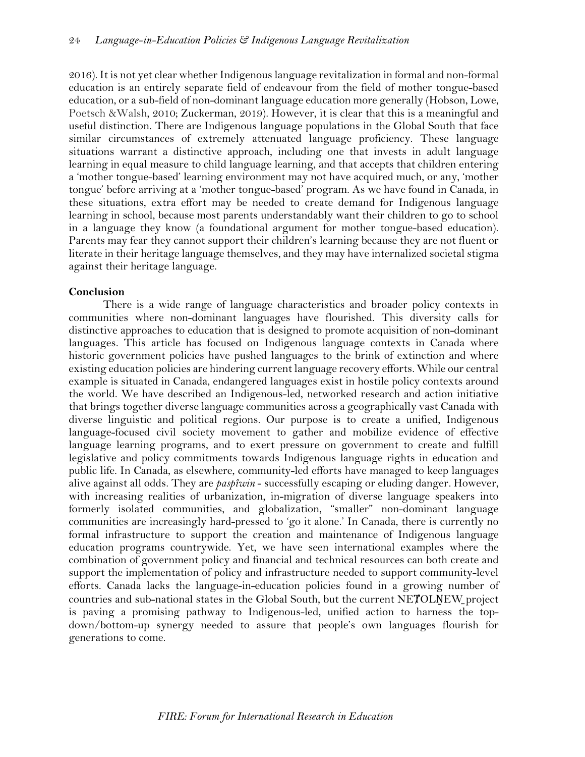2016). It is not yet clear whether Indigenous language revitalization in formal and non-formal education is an entirely separate field of endeavour from the field of mother tongue-based education, or a sub-field of non-dominant language education more generally (Hobson, Lowe, Poetsch &Walsh, 2010; Zuckerman, 2019). However, it is clear that this is a meaningful and useful distinction. There are Indigenous language populations in the Global South that face similar circumstances of extremely attenuated language proficiency. These language situations warrant a distinctive approach, including one that invests in adult language learning in equal measure to child language learning, and that accepts that children entering a 'mother tongue-based' learning environment may not have acquired much, or any, 'mother tongue' before arriving at a 'mother tongue-based' program. As we have found in Canada, in these situations, extra effort may be needed to create demand for Indigenous language learning in school, because most parents understandably want their children to go to school in a language they know (a foundational argument for mother tongue-based education). Parents may fear they cannot support their children's learning because they are not fluent or literate in their heritage language themselves, and they may have internalized societal stigma against their heritage language.

## **Conclusion**

There is a wide range of language characteristics and broader policy contexts in communities where non-dominant languages have flourished. This diversity calls for distinctive approaches to education that is designed to promote acquisition of non-dominant languages. This article has focused on Indigenous language contexts in Canada where historic government policies have pushed languages to the brink of extinction and where existing education policies are hindering current language recovery efforts. While our central example is situated in Canada, endangered languages exist in hostile policy contexts around the world. We have described an Indigenous-led, networked research and action initiative that brings together diverse language communities across a geographically vast Canada with diverse linguistic and political regions. Our purpose is to create a unified, Indigenous language-focused civil society movement to gather and mobilize evidence of effective language learning programs, and to exert pressure on government to create and fulfill legislative and policy commitments towards Indigenous language rights in education and public life. In Canada, as elsewhere, community-led efforts have managed to keep languages alive against all odds. They are *paspîwin* - successfully escaping or eluding danger*.* However, with increasing realities of urbanization, in-migration of diverse language speakers into formerly isolated communities, and globalization, "smaller" non-dominant language communities are increasingly hard-pressed to 'go it alone.' In Canada, there is currently no formal infrastructure to support the creation and maintenance of Indigenous language education programs countrywide. Yet, we have seen international examples where the combination of government policy and financial and technical resources can both create and support the implementation of policy and infrastructure needed to support community-level efforts. Canada lacks the language-in-education policies found in a growing number of countries and sub-national states in the Global South, but the current NETOLNEW project is paving a promising pathway to Indigenous-led, unified action to harness the topdown/bottom-up synergy needed to assure that people's own languages flourish for generations to come.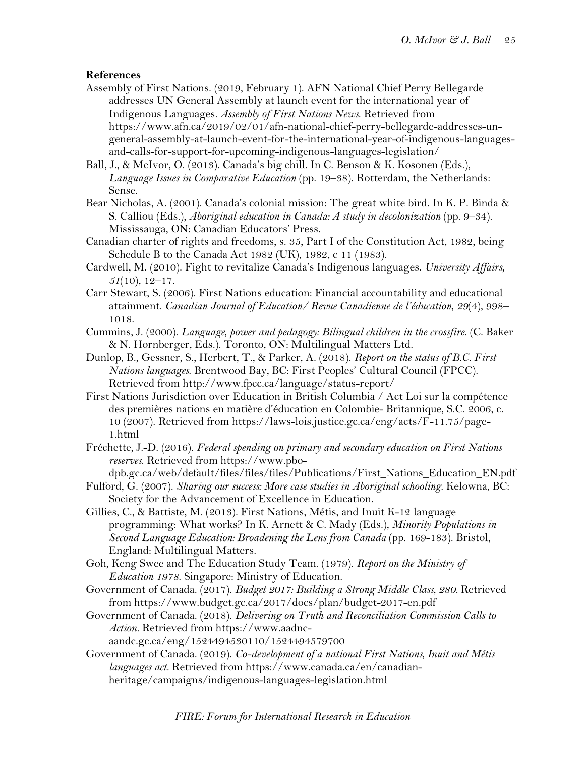## **References**

- Assembly of First Nations. (2019, February 1). AFN National Chief Perry Bellegarde addresses UN General Assembly at launch event for the international year of Indigenous Languages. *Assembly of First Nations News*. Retrieved from https://www.afn.ca/2019/02/01/afn-national-chief-perry-bellegarde-addresses-ungeneral-assembly-at-launch-event-for-the-international-year-of-indigenous-languagesand-calls-for-support-for-upcoming-indigenous-languages-legislation/
- Ball, J., & McIvor, O. (2013). Canada's big chill. In C. Benson & K. Kosonen (Eds.), *Language Issues in Comparative Education* (pp. 19–38). Rotterdam, the Netherlands: Sense.
- Bear Nicholas, A. (2001). Canada's colonial mission: The great white bird. In K. P. Binda & S. Calliou (Eds.), *Aboriginal education in Canada: A study in decolonization* (pp. 9–34). Mississauga, ON: Canadian Educators' Press.
- Canadian charter of rights and freedoms, s. 35, Part I of the Constitution Act, 1982, being Schedule B to the Canada Act 1982 (UK), 1982, c 11 (1983).
- Cardwell, M. (2010). Fight to revitalize Canada's Indigenous languages. *University Affairs*, *51*(10), 12–17.
- Carr Stewart, S. (2006). First Nations education: Financial accountability and educational attainment. *Canadian Journal of Education/ Revue Canadienne de l'éducation*, *29*(4), 998– 1018.
- Cummins, J. (2000). *Language, power and pedagogy: Bilingual children in the crossfire*. (C. Baker & N. Hornberger, Eds.). Toronto, ON: Multilingual Matters Ltd.
- Dunlop, B., Gessner, S., Herbert, T., & Parker, A. (2018). *Report on the status of B.C. First Nations languages*. Brentwood Bay, BC: First Peoples' Cultural Council (FPCC). Retrieved from http://www.fpcc.ca/language/status-report/
- First Nations Jurisdiction over Education in British Columbia / Act Loi sur la compétence des premières nations en matière d'éducation en Colombie- Britannique, S.C. 2006, c. 10 (2007). Retrieved from https://laws-lois.justice.gc.ca/eng/acts/F-11.75/page-1.html
- Fréchette, J.-D. (2016). *Federal spending on primary and secondary education on First Nations reserves*. Retrieved from https://www.pbo-
- dpb.gc.ca/web/default/files/files/files/Publications/First\_Nations\_Education\_EN.pdf
- Fulford, G. (2007). *Sharing our success: More case studies in Aboriginal schooling*. Kelowna, BC: Society for the Advancement of Excellence in Education.
- Gillies, C., & Battiste, M. (2013). First Nations, Métis, and Inuit K-12 language programming: What works? In K. Arnett & C. Mady (Eds.), *Minority Populations in Second Language Education: Broadening the Lens from Canada* (pp. 169-183). Bristol, England: Multilingual Matters.
- Goh, Keng Swee and The Education Study Team. (1979). *Report on the Ministry of Education 1978*. Singapore: Ministry of Education.
- Government of Canada. (2017). *Budget 2017: Building a Strong Middle Class, 280.* Retrieved from https://www.budget.gc.ca/2017/docs/plan/budget-2017-en.pdf
- Government of Canada. (2018). *Delivering on Truth and Reconciliation Commission Calls to Action.* Retrieved from https://www.aadncaandc.gc.ca/eng/1524494530110/1524494579700
- Government of Canada. (2019). *Co-development of a national First Nations, Inuit and Métis languages act.* Retrieved from https://www.canada.ca/en/canadianheritage/campaigns/indigenous-languages-legislation.html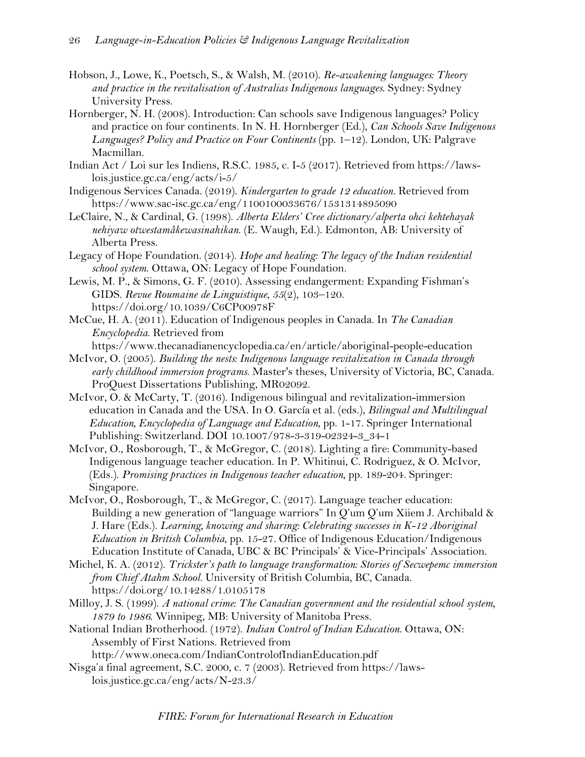- Hobson, J., Lowe, K., Poetsch, S., & Walsh, M. (2010). *Re-awakening languages: Theory and practice in the revitalisation of Australias Indigenous languages*. Sydney: Sydney University Press.
- Hornberger, N. H. (2008). Introduction: Can schools save Indigenous languages? Policy and practice on four continents. In N. H. Hornberger (Ed.), *Can Schools Save Indigenous Languages? Policy and Practice on Four Continents* (pp. 1–12). London, UK: Palgrave Macmillan.
- Indian Act / Loi sur les Indiens, R.S.C. 1985, c. I-5 (2017). Retrieved from https://lawslois.justice.gc.ca/eng/acts/i-5/
- Indigenous Services Canada. (2019). *Kindergarten to grade 12 education.* Retrieved from https://www.sac-isc.gc.ca/eng/1100100033676/1531314895090
- LeClaire, N., & Cardinal, G. (1998). *Alberta Elders' Cree dictionary/alperta ohci kehtehayak nehiyaw otwestamâkewasinahikan*. (E. Waugh, Ed.). Edmonton, AB: University of Alberta Press.
- Legacy of Hope Foundation. (2014). *Hope and healing: The legacy of the Indian residential school system*. Ottawa, ON: Legacy of Hope Foundation.
- Lewis, M. P., & Simons, G. F. (2010). Assessing endangerment: Expanding Fishman's GIDS. *Revue Roumaine de Linguistique*, *55*(2), 103–120. https://doi.org/10.1039/C6CP00978F
- McCue, H. A. (2011). Education of Indigenous peoples in Canada. In *The Canadian Encyclopedia*. Retrieved from
- https://www.thecanadianencyclopedia.ca/en/article/aboriginal-people-education
- McIvor, O. (2005). *Building the nests: Indigenous language revitalization in Canada through early childhood immersion programs*. Master's theses, University of Victoria, BC, Canada. ProQuest Dissertations Publishing, MR02092.
- McIvor, O. & McCarty, T. (2016). Indigenous bilingual and revitalization-immersion education in Canada and the USA. In O. García et al. (eds.), *Bilingual and Multilingual Education, Encyclopedia of Language and Education*, pp. 1-17. Springer International Publishing: Switzerland. DOI 10.1007/978-3-319-02324-3\_34-1
- McIvor, O., Rosborough, T., & McGregor, C. (2018). Lighting a fire: Community-based Indigenous language teacher education. In P. Whitinui, C. Rodriguez, & O. McIvor, (Eds.). *Promising practices in Indigenous teacher education*, pp. 189-204*.* Springer: Singapore.
- McIvor, O., Rosborough, T., & McGregor, C. (2017). Language teacher education: Building a new generation of "language warriors" In Q'um Q'um Xiiem J. Archibald & J. Hare (Eds.). *Learning, knowing and sharing: Celebrating successes in K-12 Aboriginal Education in British Columbia*, pp. 15-27*.* Office of Indigenous Education/Indigenous Education Institute of Canada, UBC & BC Principals' & Vice-Principals' Association.
- Michel, K. A. (2012). *Trickster's path to language transformation: Stories of Secwepemc immersion from Chief Atahm School.* University of British Columbia, BC, Canada. https://doi.org/10.14288/1.0105178
- Milloy, J. S. (1999). *A national crime: The Canadian government and the residential school system, 1879 to 1986*. Winnipeg, MB: University of Manitoba Press.
- National Indian Brotherhood. (1972). *Indian Control of Indian Education*. Ottawa, ON: Assembly of First Nations. Retrieved from

http://www.oneca.com/IndianControlofIndianEducation.pdf

Nisga'a final agreement, S.C. 2000, c. 7 (2003). Retrieved from https://lawslois.justice.gc.ca/eng/acts/N-23.3/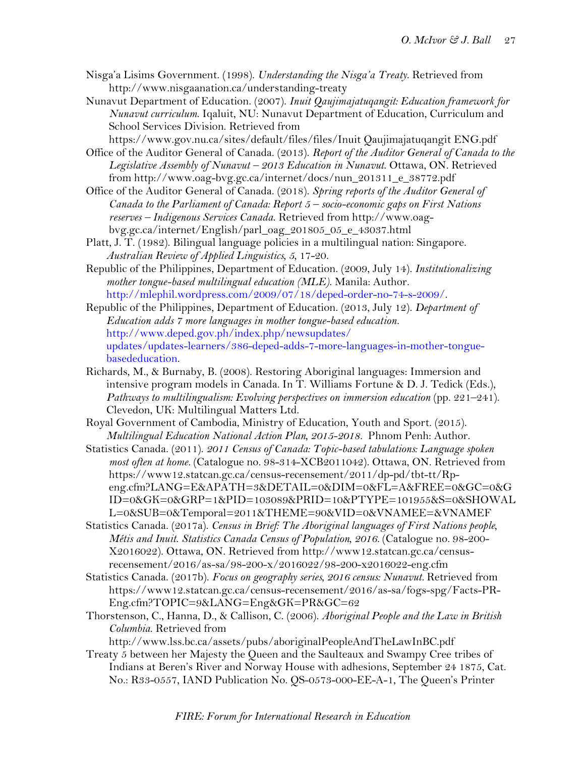- Nisga'a Lisims Government. (1998). *Understanding the Nisga'a Treaty*. Retrieved from http://www.nisgaanation.ca/understanding-treaty
- Nunavut Department of Education. (2007). *Inuit Qaujimajatuqangit: Education framework for Nunavut curriculum*. Iqaluit, NU: Nunavut Department of Education, Curriculum and School Services Division. Retrieved from

https://www.gov.nu.ca/sites/default/files/files/Inuit Qaujimajatuqangit ENG.pdf Office of the Auditor General of Canada. (2013). *Report of the Auditor General of Canada to the* 

- *Legislative Assembly of Nunavut – 2013 Education in Nunavut*. Ottawa, ON. Retrieved from http://www.oag-bvg.gc.ca/internet/docs/nun\_201311\_e\_38772.pdf
- Office of the Auditor General of Canada. (2018). *Spring reports of the Auditor General of Canada to the Parliament of Canada: Report 5 – socio-economic gaps on First Nations reserves – Indigenous Services Canada*. Retrieved from http://www.oagbvg.gc.ca/internet/English/parl\_oag\_201805\_05\_e\_43037.html
- Platt, J. T. (1982). Bilingual language policies in a multilingual nation: Singapore. *Australian Review of Applied Linguistics, 5,* 17-20.
- Republic of the Philippines, Department of Education. (2009, July 14). *Institutionalizing mother tongue-based multilingual education (MLE)*. Manila: Author. http://mlephil.wordpress.com/2009/07/18/deped-order-no-74-s-2009/.
- Republic of the Philippines, Department of Education. (2013, July 12). *Department of Education adds 7 more languages in mother tongue-based education.*  http://www.deped.gov.ph/index.php/newsupdates/ updates/updates-learners/386-deped-adds-7-more-languages-in-mother-tonguebasededucation.
- Richards, M., & Burnaby, B. (2008). Restoring Aboriginal languages: Immersion and intensive program models in Canada. In T. Williams Fortune & D. J. Tedick (Eds.), *Pathways to multilingualism: Evolving perspectives on immersion education* (pp. 221–241). Clevedon, UK: Multilingual Matters Ltd.
- Royal Government of Cambodia, Ministry of Education, Youth and Sport. (2015). *Multilingual Education National Action Plan, 2015-2018.* Phnom Penh: Author.
- Statistics Canada. (2011). *2011 Census of Canada: Topic-based tabulations: Language spoken most often at home.* (Catalogue no. 98-314-XCB2011042). Ottawa, ON. Retrieved from https://www12.statcan.gc.ca/census-recensement/2011/dp-pd/tbt-tt/Rpeng.cfm?LANG=E&APATH=3&DETAIL=0&DIM=0&FL=A&FREE=0&GC=0&G ID=0&GK=0&GRP=1&PID=103089&PRID=10&PTYPE=101955&S=0&SHOWAL L=0&SUB=0&Temporal=2011&THEME=90&VID=0&VNAMEE=&VNAMEF
- Statistics Canada. (2017a). *Census in Brief: The Aboriginal languages of First Nations people, Métis and Inuit*. *Statistics Canada Census of Population, 2016.* (Catalogue no. 98-200- X2016022). Ottawa, ON. Retrieved from http://www12.statcan.gc.ca/censusrecensement/2016/as-sa/98-200-x/2016022/98-200-x2016022-eng.cfm
- Statistics Canada. (2017b). *Focus on geography series, 2016 census: Nunavut.* Retrieved from https://www12.statcan.gc.ca/census-recensement/2016/as-sa/fogs-spg/Facts-PR-Eng.cfm?TOPIC=9&LANG=Eng&GK=PR&GC=62
- Thorstenson, C., Hanna, D., & Callison, C. (2006). *Aboriginal People and the Law in British Columbia*. Retrieved from

http://www.lss.bc.ca/assets/pubs/aboriginalPeopleAndTheLawInBC.pdf

Treaty 5 between her Majesty the Queen and the Saulteaux and Swampy Cree tribes of Indians at Beren's River and Norway House with adhesions, September 24 1875, Cat. No.: R33-0557, IAND Publication No. QS-0573-000-EE-A-1, The Queen's Printer